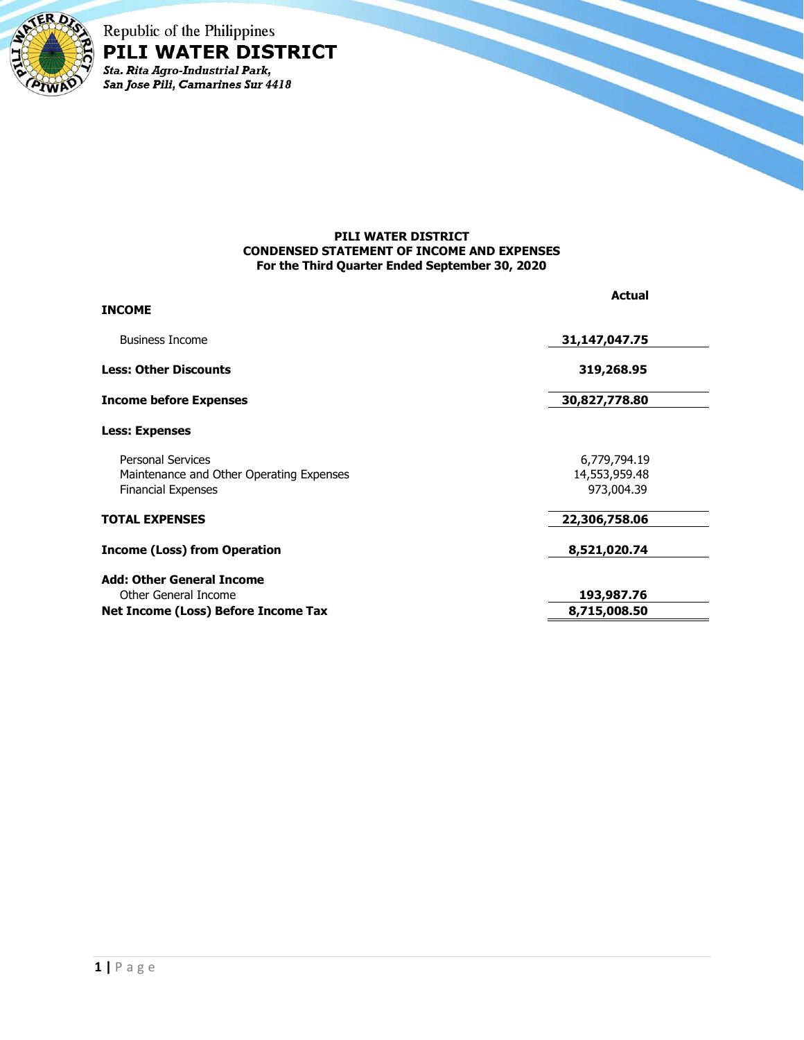

Republic of the Philippines PILI WATER DISTRICT Sta. Rita Agro-Industrial Park,<br>San Jose Pili, Camarines Sur 4418

## **PILI WATER DISTRICT CONDENSED STATEMENT OF INCOME AND EXPENSES For the Third Quarter Ended September 30, 2020**

| <b>INCOME</b>                                                        | <b>Actual</b>                 |
|----------------------------------------------------------------------|-------------------------------|
|                                                                      |                               |
| <b>Business Income</b>                                               | 31,147,047.75                 |
| <b>Less: Other Discounts</b>                                         | 319,268.95                    |
| <b>Income before Expenses</b>                                        | 30,827,778.80                 |
| <b>Less: Expenses</b>                                                |                               |
| <b>Personal Services</b><br>Maintenance and Other Operating Expenses | 6,779,794.19<br>14,553,959.48 |
| <b>Financial Expenses</b>                                            | 973,004.39                    |
| <b>TOTAL EXPENSES</b>                                                | 22,306,758.06                 |
| <b>Income (Loss) from Operation</b>                                  | 8,521,020.74                  |
| <b>Add: Other General Income</b>                                     |                               |
| Other General Income                                                 | 193,987.76                    |
| Net Income (Loss) Before Income Tax                                  | 8,715,008.50                  |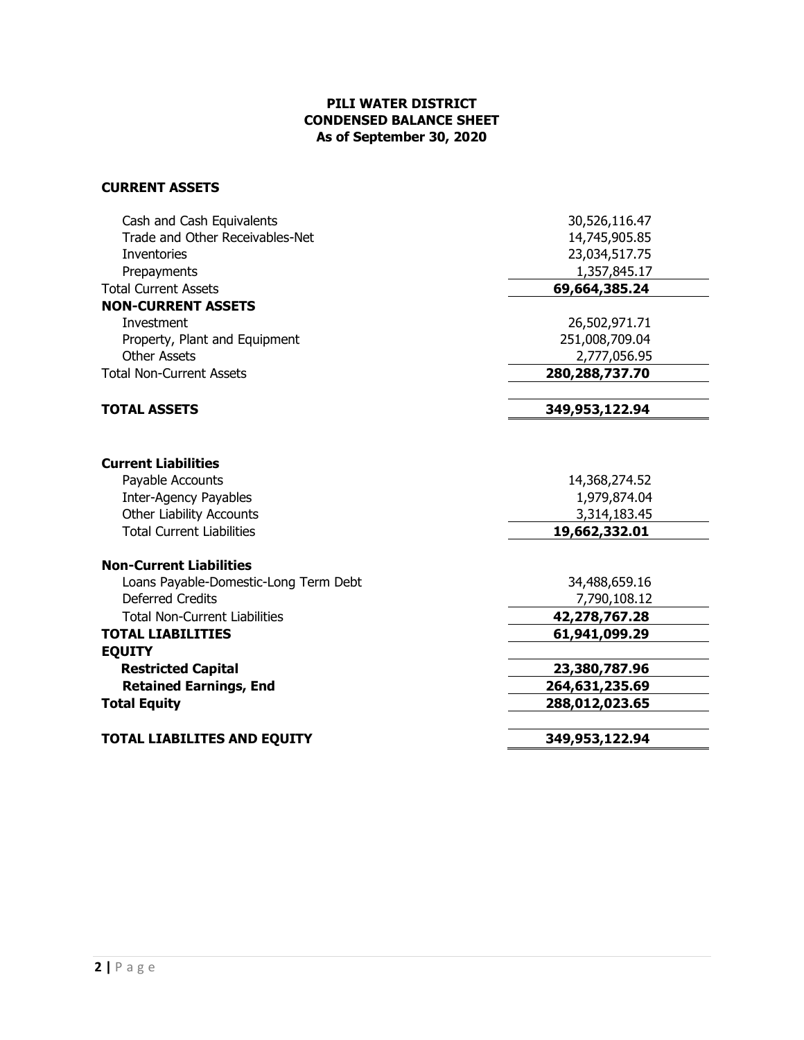## **PILI WATER DISTRICT CONDENSED BALANCE SHEET As of September 30, 2020**

## **CURRENT ASSETS**

| Trade and Other Receivables-Net<br>14,745,905.85<br>23,034,517.75<br><b>Inventories</b><br>1,357,845.17<br>Prepayments<br>69,664,385.24<br><b>Total Current Assets</b><br><b>NON-CURRENT ASSETS</b><br>Investment<br>26,502,971.71<br>251,008,709.04<br>Property, Plant and Equipment<br><b>Other Assets</b><br>2,777,056.95<br><b>Total Non-Current Assets</b><br>280, 288, 737. 70<br>349,953,122.94<br><b>TOTAL ASSETS</b><br><b>Current Liabilities</b><br>Payable Accounts<br>14,368,274.52<br><b>Inter-Agency Payables</b><br>1,979,874.04<br><b>Other Liability Accounts</b><br>3,314,183.45<br><b>Total Current Liabilities</b><br>19,662,332.01<br><b>Non-Current Liabilities</b><br>Loans Payable-Domestic-Long Term Debt<br>34,488,659.16<br><b>Deferred Credits</b><br>7,790,108.12<br><b>Total Non-Current Liabilities</b><br>42,278,767.28<br><b>TOTAL LIABILITIES</b><br>61,941,099.29<br><b>EQUITY</b><br><b>Restricted Capital</b><br>23,380,787.96<br><b>Retained Earnings, End</b><br>264,631,235.69<br>288,012,023.65<br><b>Total Equity</b><br>349,953,122.94<br><b>TOTAL LIABILITES AND EQUITY</b> | Cash and Cash Equivalents | 30,526,116.47 |
|--------------------------------------------------------------------------------------------------------------------------------------------------------------------------------------------------------------------------------------------------------------------------------------------------------------------------------------------------------------------------------------------------------------------------------------------------------------------------------------------------------------------------------------------------------------------------------------------------------------------------------------------------------------------------------------------------------------------------------------------------------------------------------------------------------------------------------------------------------------------------------------------------------------------------------------------------------------------------------------------------------------------------------------------------------------------------------------------------------------------------|---------------------------|---------------|
|                                                                                                                                                                                                                                                                                                                                                                                                                                                                                                                                                                                                                                                                                                                                                                                                                                                                                                                                                                                                                                                                                                                          |                           |               |
|                                                                                                                                                                                                                                                                                                                                                                                                                                                                                                                                                                                                                                                                                                                                                                                                                                                                                                                                                                                                                                                                                                                          |                           |               |
|                                                                                                                                                                                                                                                                                                                                                                                                                                                                                                                                                                                                                                                                                                                                                                                                                                                                                                                                                                                                                                                                                                                          |                           |               |
|                                                                                                                                                                                                                                                                                                                                                                                                                                                                                                                                                                                                                                                                                                                                                                                                                                                                                                                                                                                                                                                                                                                          |                           |               |
|                                                                                                                                                                                                                                                                                                                                                                                                                                                                                                                                                                                                                                                                                                                                                                                                                                                                                                                                                                                                                                                                                                                          |                           |               |
|                                                                                                                                                                                                                                                                                                                                                                                                                                                                                                                                                                                                                                                                                                                                                                                                                                                                                                                                                                                                                                                                                                                          |                           |               |
|                                                                                                                                                                                                                                                                                                                                                                                                                                                                                                                                                                                                                                                                                                                                                                                                                                                                                                                                                                                                                                                                                                                          |                           |               |
|                                                                                                                                                                                                                                                                                                                                                                                                                                                                                                                                                                                                                                                                                                                                                                                                                                                                                                                                                                                                                                                                                                                          |                           |               |
|                                                                                                                                                                                                                                                                                                                                                                                                                                                                                                                                                                                                                                                                                                                                                                                                                                                                                                                                                                                                                                                                                                                          |                           |               |
|                                                                                                                                                                                                                                                                                                                                                                                                                                                                                                                                                                                                                                                                                                                                                                                                                                                                                                                                                                                                                                                                                                                          |                           |               |
|                                                                                                                                                                                                                                                                                                                                                                                                                                                                                                                                                                                                                                                                                                                                                                                                                                                                                                                                                                                                                                                                                                                          |                           |               |
|                                                                                                                                                                                                                                                                                                                                                                                                                                                                                                                                                                                                                                                                                                                                                                                                                                                                                                                                                                                                                                                                                                                          |                           |               |
|                                                                                                                                                                                                                                                                                                                                                                                                                                                                                                                                                                                                                                                                                                                                                                                                                                                                                                                                                                                                                                                                                                                          |                           |               |
|                                                                                                                                                                                                                                                                                                                                                                                                                                                                                                                                                                                                                                                                                                                                                                                                                                                                                                                                                                                                                                                                                                                          |                           |               |
|                                                                                                                                                                                                                                                                                                                                                                                                                                                                                                                                                                                                                                                                                                                                                                                                                                                                                                                                                                                                                                                                                                                          |                           |               |
|                                                                                                                                                                                                                                                                                                                                                                                                                                                                                                                                                                                                                                                                                                                                                                                                                                                                                                                                                                                                                                                                                                                          |                           |               |
|                                                                                                                                                                                                                                                                                                                                                                                                                                                                                                                                                                                                                                                                                                                                                                                                                                                                                                                                                                                                                                                                                                                          |                           |               |
|                                                                                                                                                                                                                                                                                                                                                                                                                                                                                                                                                                                                                                                                                                                                                                                                                                                                                                                                                                                                                                                                                                                          |                           |               |
|                                                                                                                                                                                                                                                                                                                                                                                                                                                                                                                                                                                                                                                                                                                                                                                                                                                                                                                                                                                                                                                                                                                          |                           |               |
|                                                                                                                                                                                                                                                                                                                                                                                                                                                                                                                                                                                                                                                                                                                                                                                                                                                                                                                                                                                                                                                                                                                          |                           |               |
|                                                                                                                                                                                                                                                                                                                                                                                                                                                                                                                                                                                                                                                                                                                                                                                                                                                                                                                                                                                                                                                                                                                          |                           |               |
|                                                                                                                                                                                                                                                                                                                                                                                                                                                                                                                                                                                                                                                                                                                                                                                                                                                                                                                                                                                                                                                                                                                          |                           |               |
|                                                                                                                                                                                                                                                                                                                                                                                                                                                                                                                                                                                                                                                                                                                                                                                                                                                                                                                                                                                                                                                                                                                          |                           |               |
|                                                                                                                                                                                                                                                                                                                                                                                                                                                                                                                                                                                                                                                                                                                                                                                                                                                                                                                                                                                                                                                                                                                          |                           |               |
|                                                                                                                                                                                                                                                                                                                                                                                                                                                                                                                                                                                                                                                                                                                                                                                                                                                                                                                                                                                                                                                                                                                          |                           |               |
|                                                                                                                                                                                                                                                                                                                                                                                                                                                                                                                                                                                                                                                                                                                                                                                                                                                                                                                                                                                                                                                                                                                          |                           |               |